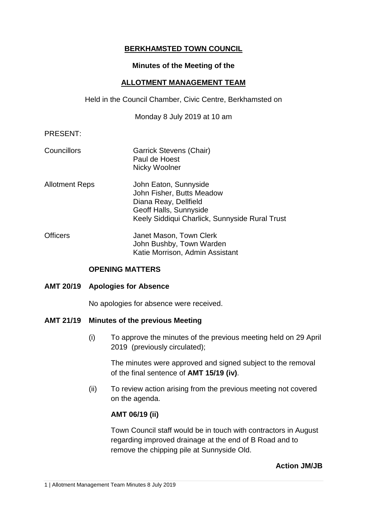# **BERKHAMSTED TOWN COUNCIL**

### **Minutes of the Meeting of the**

### **ALLOTMENT MANAGEMENT TEAM**

Held in the Council Chamber, Civic Centre, Berkhamsted on

Monday 8 July 2019 at 10 am

## PRESENT:

- Councillors Garrick Stevens (Chair) Paul de Hoest Nicky Woolner
- Allotment Reps John Eaton, Sunnyside John Fisher, Butts Meadow Diana Reay, Dellfield Geoff Halls, Sunnyside Keely Siddiqui Charlick, Sunnyside Rural Trust
- Officers **Janet Mason, Town Clerk** John Bushby, Town Warden Katie Morrison, Admin Assistant

## **OPENING MATTERS**

## **AMT 20/19 Apologies for Absence**

No apologies for absence were received.

## **AMT 21/19 Minutes of the previous Meeting**

(i) To approve the minutes of the previous meeting held on 29 April 2019 (previously circulated);

The minutes were approved and signed subject to the removal of the final sentence of **AMT 15/19 (iv)**.

(ii) To review action arising from the previous meeting not covered on the agenda.

## **AMT 06/19 (ii)**

Town Council staff would be in touch with contractors in August regarding improved drainage at the end of B Road and to remove the chipping pile at Sunnyside Old.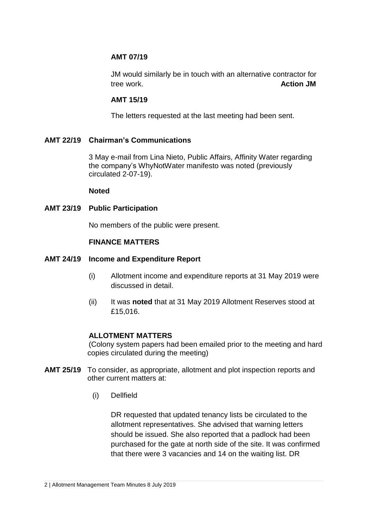## **AMT 07/19**

JM would similarly be in touch with an alternative contractor for tree work. **Action JM**

## **AMT 15/19**

The letters requested at the last meeting had been sent.

## **AMT 22/19 Chairman's Communications**

3 May e-mail from Lina Nieto, Public Affairs, Affinity Water regarding the company's WhyNotWater manifesto was noted (previously circulated 2-07-19).

### **Noted**

## **AMT 23/19 Public Participation**

No members of the public were present.

### **FINANCE MATTERS**

### **AMT 24/19 Income and Expenditure Report**

- (i) Allotment income and expenditure reports at 31 May 2019 were discussed in detail.
- (ii) It was **noted** that at 31 May 2019 Allotment Reserves stood at £15,016.

### **ALLOTMENT MATTERS**

(Colony system papers had been emailed prior to the meeting and hard copies circulated during the meeting)

- **AMT 25/19** To consider, as appropriate, allotment and plot inspection reports and other current matters at:
	- (i) Dellfield

DR requested that updated tenancy lists be circulated to the allotment representatives. She advised that warning letters should be issued. She also reported that a padlock had been purchased for the gate at north side of the site. It was confirmed that there were 3 vacancies and 14 on the waiting list. DR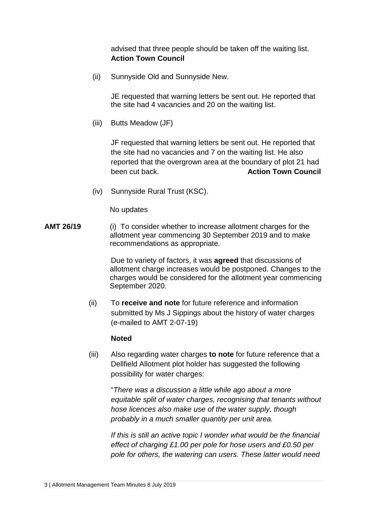advised that three people should be taken off the waiting list. **Action Town Council**

(ii) Sunnyside Old and Sunnyside New.

JE requested that warning letters be sent out. He reported that the site had 4 vacancies and 20 on the waiting list.

(iii) Butts Meadow (JF)

JF requested that warning letters be sent out. He reported that the site had no vacancies and 7 on the waiting list. He also reported that the overgrown area at the boundary of plot 21 had **been cut back. Action Town Council** 

(iv) Sunnyside Rural Trust (KSC).

No updates

**AMT 26/19** (i) To consider whether to increase allotment charges for the allotment year commencing 30 September 2019 and to make recommendations as appropriate.

> Due to variety of factors, it was **agreed** that discussions of allotment charge increases would be postponed. Changes to the charges would be considered for the allotment year commencing September 2020.

(ii) To **receive and note** for future reference and information submitted by Ms J Sippings about the history of water charges (e-mailed to AMT 2-07-19)

#### **Noted**

(iii) Also regarding water charges **to note** for future reference that a Dellfield Allotment plot holder has suggested the following possibility for water charges:

"*There was a discussion a little while ago about a more equitable split of water charges, recognising that tenants without hose licences also make use of the water supply, though probably in a much smaller quantity per unit area.*

*If this is still an active topic I wonder what would be the financial effect of charging £1.00 per pole for hose users and £0.50 per pole for others, the watering can users. These latter would need*